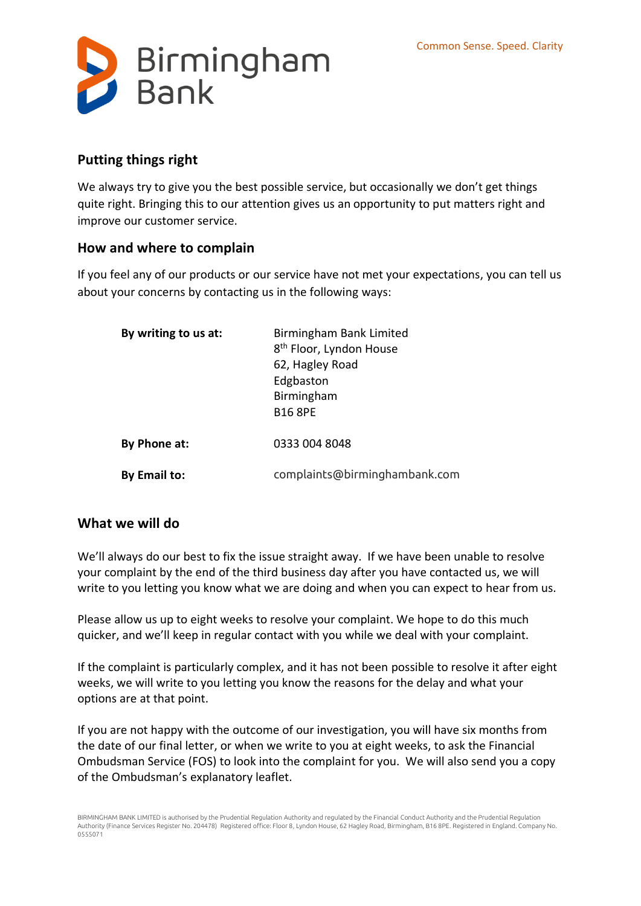

## **Putting things right**

We always try to give you the best possible service, but occasionally we don't get things quite right. Bringing this to our attention gives us an opportunity to put matters right and improve our customer service.

## **How and where to complain**

If you feel any of our products or our service have not met your expectations, you can tell us about your concerns by contacting us in the following ways:

| By writing to us at: | Birmingham Bank Limited<br>8 <sup>th</sup> Floor, Lyndon House<br>62, Hagley Road<br>Edgbaston<br>Birmingham<br><b>B16 8PE</b> |
|----------------------|--------------------------------------------------------------------------------------------------------------------------------|
| By Phone at:         | 0333 004 8048                                                                                                                  |
| By Email to:         | complaints@birminghambank.com                                                                                                  |

## **What we will do**

We'll always do our best to fix the issue straight away. If we have been unable to resolve your complaint by the end of the third business day after you have contacted us, we will write to you letting you know what we are doing and when you can expect to hear from us.

Please allow us up to eight weeks to resolve your complaint. We hope to do this much quicker, and we'll keep in regular contact with you while we deal with your complaint.

If the complaint is particularly complex, and it has not been possible to resolve it after eight weeks, we will write to you letting you know the reasons for the delay and what your options are at that point.

If you are not happy with the outcome of our investigation, you will have six months from the date of our final letter, or when we write to you at eight weeks, to ask the Financial Ombudsman Service (FOS) to look into the complaint for you. We will also send you a copy of the Ombudsman's explanatory leaflet.

BIRMINGHAM BANK LIMITED is authorised by the Prudential Regulation Authority and regulated by the Financial Conduct Authority and the Prudential Regulation Authority (Finance Services Register No. 204478) Registered office: Floor 8, Lyndon House, 62 Hagley Road, Birmingham, B16 8PE. Registered in England. Company No. 0555071